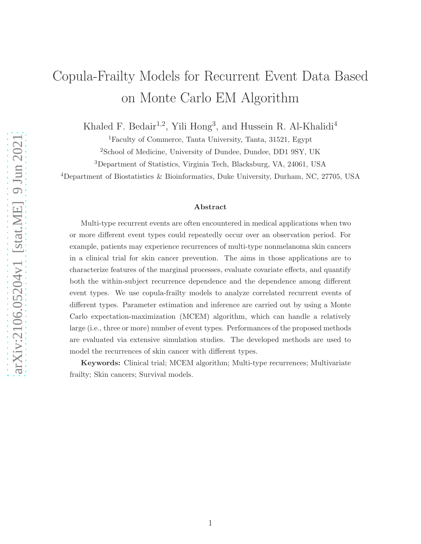# Copula-Frailty Models for Recurrent Event Data Based on Monte Carlo EM Algorithm

Khaled F. Bedair<sup>1,2</sup>, Yili Hong<sup>3</sup>, and Hussein R. Al-Khalidi<sup>4</sup>

<sup>1</sup>Faculty of Commerce, Tanta University, Tanta, 31521, Egypt

<sup>2</sup>School of Medicine, University of Dundee, Dundee, DD1 9SY, UK

<sup>3</sup>Department of Statistics, Virginia Tech, Blacksburg, VA, 24061, USA

<sup>4</sup>Department of Biostatistics & Bioinformatics, Duke University, Durham, NC, 27705, USA

#### Abstract

Multi-type recurrent events are often encountered in medical applications when two or more different event types could repeatedly occur over an observation period. For example, patients may experience recurrences of multi-type nonmelanoma skin cancers in a clinical trial for skin cancer prevention. The aims in those applications are to characterize features of the marginal processes, evaluate covariate effects, and quantify both the within-subject recurrence dependence and the dependence among different event types. We use copula-frailty models to analyze correlated recurrent events of different types. Parameter estimation and inference are carried out by using a Monte Carlo expectation-maximization (MCEM) algorithm, which can handle a relatively large (i.e., three or more) number of event types. Performances of the proposed methods are evaluated via extensive simulation studies. The developed methods are used to model the recurrences of skin cancer with different types.

Keywords: Clinical trial; MCEM algorithm; Multi-type recurrences; Multivariate frailty; Skin cancers; Survival models.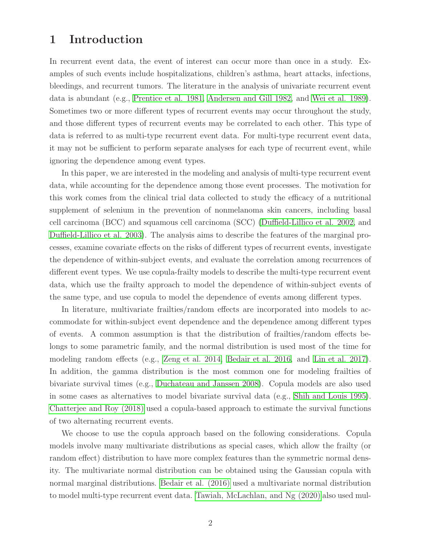# 1 Introduction

In recurrent event data, the event of interest can occur more than once in a study. Examples of such events include hospitalizations, children's asthma, heart attacks, infections, bleedings, and recurrent tumors. The literature in the analysis of univariate recurrent event data is abundant (e.g., [Prentice et al. 1981,](#page-23-0) [Andersen and Gill 1982,](#page-21-0) and [Wei et al. 1989\)](#page-23-1). Sometimes two or more different types of recurrent events may occur throughout the study, and those different types of recurrent events may be correlated to each other. This type of data is referred to as multi-type recurrent event data. For multi-type recurrent event data, it may not be sufficient to perform separate analyses for each type of recurrent event, while ignoring the dependence among event types.

In this paper, we are interested in the modeling and analysis of multi-type recurrent event data, while accounting for the dependence among those event processes. The motivation for this work comes from the clinical trial data collected to study the efficacy of a nutritional supplement of selenium in the prevention of nonmelanoma skin cancers, including basal cell carcinoma (BCC) and squamous cell carcinoma (SCC) [\(Duffield-Lillico et al. 2002,](#page-22-0) and [Duffield-Lillico et al. 2003\)](#page-22-1). The analysis aims to describe the features of the marginal processes, examine covariate effects on the risks of different types of recurrent events, investigate the dependence of within-subject events, and evaluate the correlation among recurrences of different event types. We use copula-frailty models to describe the multi-type recurrent event data, which use the frailty approach to model the dependence of within-subject events of the same type, and use copula to model the dependence of events among different types.

In literature, multivariate frailties/random effects are incorporated into models to accommodate for within-subject event dependence and the dependence among different types of events. A common assumption is that the distribution of frailties/random effects belongs to some parametric family, and the normal distribution is used most of the time for modeling random effects (e.g., [Zeng et al. 2014,](#page-23-2) [Bedair et al. 2016,](#page-21-1) and [Lin et al. 2017\)](#page-22-2). In addition, the gamma distribution is the most common one for modeling frailties of bivariate survival times (e.g., [Duchateau and Janssen 2008\)](#page-22-3). Copula models are also used in some cases as alternatives to model bivariate survival data (e.g., [Shih and Louis 1995\)](#page-23-3). [Chatterjee and Roy \(2018\)](#page-22-4) used a copula-based approach to estimate the survival functions of two alternating recurrent events.

We choose to use the copula approach based on the following considerations. Copula models involve many multivariate distributions as special cases, which allow the frailty (or random effect) distribution to have more complex features than the symmetric normal density. The multivariate normal distribution can be obtained using the Gaussian copula with normal marginal distributions. [Bedair et al. \(2016\)](#page-21-1) used a multivariate normal distribution to model multi-type recurrent event data. [Tawiah, McLachlan, and Ng \(2020\)](#page-23-4) also used mul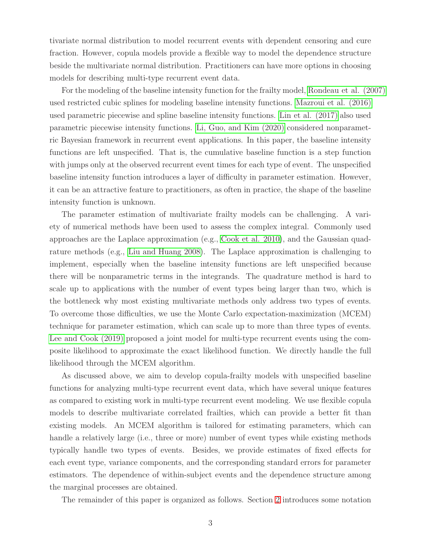tivariate normal distribution to model recurrent events with dependent censoring and cure fraction. However, copula models provide a flexible way to model the dependence structure beside the multivariate normal distribution. Practitioners can have more options in choosing models for describing multi-type recurrent event data.

For the modeling of the baseline intensity function for the frailty model, [Rondeau et al. \(2007\)](#page-23-5) used restricted cubic splines for modeling baseline intensity functions. [Mazroui et al. \(2016\)](#page-22-5) used parametric piecewise and spline baseline intensity functions. Lin [et al. \(2017\)](#page-22-2) also used parametric piecewise intensity functions. [Li, Guo, and Kim \(2020\)](#page-22-6) considered nonparametric Bayesian framework in recurrent event applications. In this paper, the baseline intensity functions are left unspecified. That is, the cumulative baseline function is a step function with jumps only at the observed recurrent event times for each type of event. The unspecified baseline intensity function introduces a layer of difficulty in parameter estimation. However, it can be an attractive feature to practitioners, as often in practice, the shape of the baseline intensity function is unknown.

The parameter estimation of multivariate frailty models can be challenging. A variety of numerical methods have been used to assess the complex integral. Commonly used approaches are the Laplace approximation (e.g., [Cook et al. 2010\)](#page-22-7), and the Gaussian quadrature methods (e.g., [Liu and Huang 2008\)](#page-22-8). The Laplace approximation is challenging to implement, especially when the baseline intensity functions are left unspecified because there will be nonparametric terms in the integrands. The quadrature method is hard to scale up to applications with the number of event types being larger than two, which is the bottleneck why most existing multivariate methods only address two types of events. To overcome those difficulties, we use the Monte Carlo expectation-maximization (MCEM) technique for parameter estimation, which can scale up to more than three types of events. [Lee and Cook \(2019\)](#page-22-9) proposed a joint model for multi-type recurrent events using the composite likelihood to approximate the exact likelihood function. We directly handle the full likelihood through the MCEM algorithm.

As discussed above, we aim to develop copula-frailty models with unspecified baseline functions for analyzing multi-type recurrent event data, which have several unique features as compared to existing work in multi-type recurrent event modeling. We use flexible copula models to describe multivariate correlated frailties, which can provide a better fit than existing models. An MCEM algorithm is tailored for estimating parameters, which can handle a relatively large (i.e., three or more) number of event types while existing methods typically handle two types of events. Besides, we provide estimates of fixed effects for each event type, variance components, and the corresponding standard errors for parameter estimators. The dependence of within-subject events and the dependence structure among the marginal processes are obtained.

The remainder of this paper is organized as follows. Section [2](#page-3-0) introduces some notation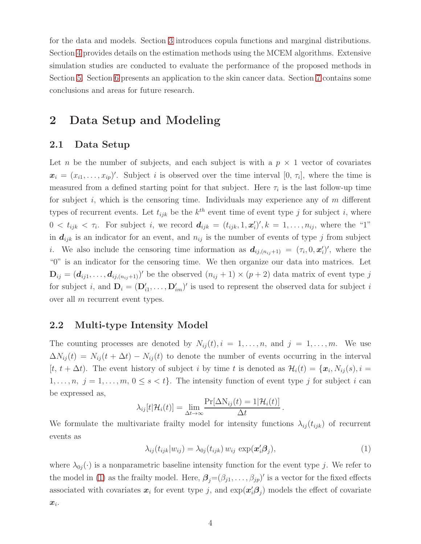for the data and models. Section [3](#page-4-0) introduces copula functions and marginal distributions. Section [4](#page-6-0) provides details on the estimation methods using the MCEM algorithms. Extensive simulation studies are conducted to evaluate the performance of the proposed methods in Section [5.](#page-10-0) Section [6](#page-16-0) presents an application to the skin cancer data. Section [7](#page-19-0) contains some conclusions and areas for future research.

# <span id="page-3-0"></span>2 Data Setup and Modeling

### 2.1 Data Setup

Let n be the number of subjects, and each subject is with a  $p \times 1$  vector of covariates  $\mathbf{x}_i = (x_{i1}, \ldots, x_{ip})'$ . Subject i is observed over the time interval  $[0, \tau_i]$ , where the time is measured from a defined starting point for that subject. Here  $\tau_i$  is the last follow-up time for subject  $i$ , which is the censoring time. Individuals may experience any of  $m$  different types of recurrent events. Let  $t_{ijk}$  be the  $k^{th}$  event time of event type j for subject i, where  $0 < t_{ijk} < \tau_i$ . For subject i, we record  $d_{ijk} = (t_{ijk}, 1, \mathbf{x}_i')', k = 1, \ldots, n_{ij}$ , where the "1" in  $d_{ijk}$  is an indicator for an event, and  $n_{ij}$  is the number of events of type j from subject *i*. We also include the censoring time information as  $d_{ij,(n_{ij}+1)} = (\tau_i, 0, \mathbf{x}_i')'$ , where the "0" is an indicator for the censoring time. We then organize our data into matrices. Let  $\mathbf{D}_{ij} = (d_{ij1}, \ldots, d_{ij,(n_{ij}+1)})'$  be the observed  $(n_{ij} + 1) \times (p + 2)$  data matrix of event type j for subject i, and  $D_i = (D'_{i1}, \ldots, D'_{im})'$  is used to represent the observed data for subject i over all m recurrent event types.

### 2.2 Multi-type Intensity Model

The counting processes are denoted by  $N_{ij}(t)$ ,  $i = 1, \ldots, n$ , and  $j = 1, \ldots, m$ . We use  $\Delta N_{ij}(t) = N_{ij}(t + \Delta t) - N_{ij}(t)$  to denote the number of events occurring in the interval  $[t, t + \Delta t)$ . The event history of subject i by time t is denoted as  $\mathcal{H}_i(t) = \{\boldsymbol{x}_i, N_{ij}(s), i =$  $1, \ldots, n, j = 1, \ldots, m, 0 \leq s < t$ . The intensity function of event type j for subject i can be expressed as,

$$
\lambda_{ij}[t|\mathcal{H}_i(t)] = \lim_{\Delta t \to \infty} \frac{\Pr[\Delta N_{ij}(t) = 1|\mathcal{H}_i(t)]}{\Delta t}
$$

We formulate the multivariate frailty model for intensity functions  $\lambda_{ij}(t_{ijk})$  of recurrent events as

<span id="page-3-1"></span>
$$
\lambda_{ij}(t_{ijk}|w_{ij}) = \lambda_{0j}(t_{ijk}) w_{ij} \exp(\mathbf{x}'_i \mathbf{\beta}_j), \qquad (1)
$$

.

where  $\lambda_{0j}(\cdot)$  is a nonparametric baseline intensity function for the event type j. We refer to the model in [\(1\)](#page-3-1) as the frailty model. Here,  $\beta_j = (\beta_{j1}, \ldots, \beta_{jp})'$  is a vector for the fixed effects associated with covariates  $x_i$  for event type j, and  $\exp(x_i' \beta_j)$  models the effect of covariate  $\boldsymbol{x}_i$ .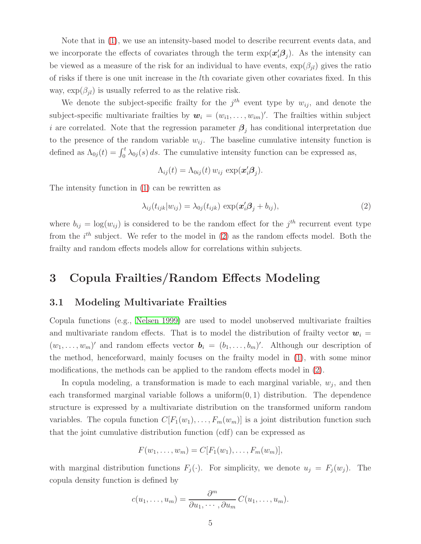Note that in [\(1\)](#page-3-1), we use an intensity-based model to describe recurrent events data, and we incorporate the effects of covariates through the term  $\exp(\mathbf{x}'_i \mathbf{\beta}_j)$ . As the intensity can be viewed as a measure of the risk for an individual to have events,  $\exp(\beta_{jl})$  gives the ratio of risks if there is one unit increase in the lth covariate given other covariates fixed. In this way,  $\exp(\beta_{il})$  is usually referred to as the relative risk.

We denote the subject-specific frailty for the  $j<sup>th</sup>$  event type by  $w_{ij}$ , and denote the subject-specific multivariate frailties by  $\mathbf{w}_i = (w_{i1}, \dots, w_{im})'$ . The frailties within subject i are correlated. Note that the regression parameter  $\beta_j$  has conditional interpretation due to the presence of the random variable  $w_{ij}$ . The baseline cumulative intensity function is defined as  $\Lambda_{0j}(t) = \int_0^t \lambda_{0j}(s) ds$ . The cumulative intensity function can be expressed as,

$$
\Lambda_{ij}(t) = \Lambda_{0ij}(t) w_{ij} \exp(\mathbf{x}'_i \mathbf{\beta}_j).
$$

The intensity function in [\(1\)](#page-3-1) can be rewritten as

<span id="page-4-1"></span>
$$
\lambda_{ij}(t_{ijk}|w_{ij}) = \lambda_{0j}(t_{ijk}) \exp(\mathbf{x}'_i \mathbf{\beta}_j + b_{ij}), \qquad (2)
$$

where  $b_{ij} = \log(w_{ij})$  is considered to be the random effect for the j<sup>th</sup> recurrent event type from the  $i<sup>th</sup>$  subject. We refer to the model in [\(2\)](#page-4-1) as the random effects model. Both the frailty and random effects models allow for correlations within subjects.

## <span id="page-4-0"></span>3 Copula Frailties/Random Effects Modeling

### 3.1 Modeling Multivariate Frailties

Copula functions (e.g., [Nelsen 1999\)](#page-23-6) are used to model unobserved multivariate frailties and multivariate random effects. That is to model the distribution of frailty vector  $w_i =$  $(w_1, \ldots, w_m)'$  and random effects vector  $\mathbf{b}_i = (b_1, \ldots, b_m)'$ . Although our description of the method, henceforward, mainly focuses on the frailty model in [\(1\)](#page-3-1), with some minor modifications, the methods can be applied to the random effects model in [\(2\)](#page-4-1).

In copula modeling, a transformation is made to each marginal variable,  $w_j$ , and then each transformed marginal variable follows a uniform $(0, 1)$  distribution. The dependence structure is expressed by a multivariate distribution on the transformed uniform random variables. The copula function  $C[F_1(w_1), \ldots, F_m(w_m)]$  is a joint distribution function such that the joint cumulative distribution function (cdf) can be expressed as

$$
F(w_1,\ldots,w_m)=C[F_1(w_1),\ldots,F_m(w_m)],
$$

with marginal distribution functions  $F_j(\cdot)$ . For simplicity, we denote  $u_j = F_j(w_j)$ . The copula density function is defined by

$$
c(u_1,\ldots,u_m)=\frac{\partial^m}{\partial u_1,\cdots,\partial u_m}C(u_1,\ldots,u_m).
$$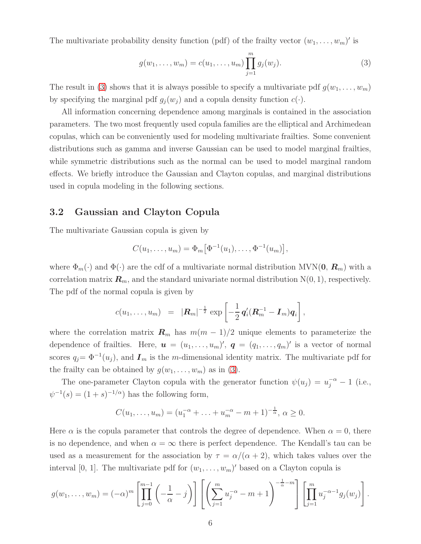The multivariate probability density function (pdf) of the frailty vector  $(w_1, \ldots, w_m)'$  is

<span id="page-5-0"></span>
$$
g(w_1, \ldots, w_m) = c(u_1, \ldots, u_m) \prod_{j=1}^m g_j(w_j).
$$
 (3)

The result in [\(3\)](#page-5-0) shows that it is always possible to specify a multivariate pdf  $g(w_1, \ldots, w_m)$ by specifying the marginal pdf  $g_j(w_j)$  and a copula density function  $c(\cdot)$ .

All information concerning dependence among marginals is contained in the association parameters. The two most frequently used copula families are the elliptical and Archimedean copulas, which can be conveniently used for modeling multivariate frailties. Some convenient distributions such as gamma and inverse Gaussian can be used to model marginal frailties, while symmetric distributions such as the normal can be used to model marginal random effects. We briefly introduce the Gaussian and Clayton copulas, and marginal distributions used in copula modeling in the following sections.

### 3.2 Gaussian and Clayton Copula

The multivariate Gaussian copula is given by

$$
C(u_1,\ldots,u_m)=\Phi_m\big[\Phi^{-1}(u_1),\ldots,\Phi^{-1}(u_m)\big],
$$

where  $\Phi_m(\cdot)$  and  $\Phi(\cdot)$  are the cdf of a multivariate normal distribution MVN(0,  $\mathbf{R}_m$ ) with a correlation matrix  $\mathbf{R}_m$ , and the standard univariate normal distribution  $N(0, 1)$ , respectively. The pdf of the normal copula is given by

$$
c(u_1,\ldots,u_m) = |\mathbf{R}_m|^{-\frac{1}{2}} \exp \left[-\frac{1}{2} \mathbf{q}'_i (\mathbf{R}_m^{-1} - \mathbf{I}_m) \mathbf{q}_i\right],
$$

where the correlation matrix  $\mathbf{R}_m$  has  $m(m-1)/2$  unique elements to parameterize the dependence of frailties. Here,  $\boldsymbol{u} = (u_1, \ldots, u_m)'$ ,  $\boldsymbol{q} = (q_1, \ldots, q_m)'$  is a vector of normal scores  $q_j = \Phi^{-1}(u_j)$ , and  $\boldsymbol{I}_m$  is the m-dimensional identity matrix. The multivariate pdf for the frailty can be obtained by  $g(w_1, \ldots, w_m)$  as in [\(3\)](#page-5-0).

The one-parameter Clayton copula with the generator function  $\psi(u_j) = u_j^{-\alpha} - 1$  (i.e.,  $\psi^{-1}(s) = (1 + s)^{-1/\alpha}$  has the following form,

$$
C(u_1, \ldots, u_m) = (u_1^{-\alpha} + \ldots + u_m^{-\alpha} - m + 1)^{-\frac{1}{\alpha}}, \alpha \ge 0.
$$

Here  $\alpha$  is the copula parameter that controls the degree of dependence. When  $\alpha = 0$ , there is no dependence, and when  $\alpha = \infty$  there is perfect dependence. The Kendall's tau can be used as a measurement for the association by  $\tau = \alpha/(\alpha + 2)$ , which takes values over the interval [0, 1]. The multivariate pdf for  $(w_1, \ldots, w_m)'$  based on a Clayton copula is

$$
g(w_1,\ldots,w_m)=(-\alpha)^m\left[\prod_{j=0}^{m-1}\left(-\frac{1}{\alpha}-j\right)\right]\left[\left(\sum_{j=1}^m u_j^{-\alpha}-m+1\right)^{-\frac{1}{\alpha}-m}\right]\left[\prod_{j=1}^m u_j^{-\alpha-1}g_j(w_j)\right].
$$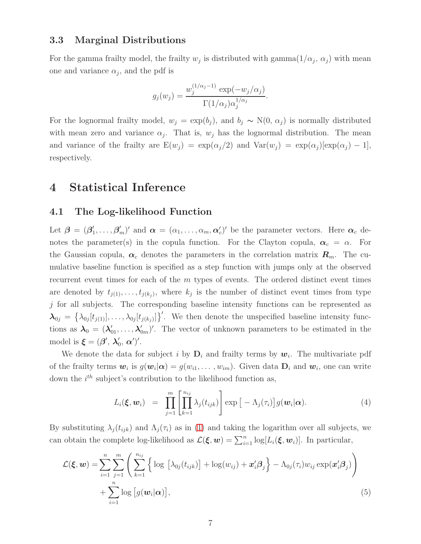### 3.3 Marginal Distributions

For the gamma frailty model, the frailty  $w_j$  is distributed with gamma $(1/\alpha_j, \alpha_j)$  with mean one and variance  $\alpha_j$ , and the pdf is

$$
g_j(w_j) = \frac{w_j^{(1/\alpha_j - 1)} \exp(-w_j/\alpha_j)}{\Gamma(1/\alpha_j)\alpha_j^{1/\alpha_j}}.
$$

For the lognormal frailty model,  $w_j = \exp(b_j)$ , and  $b_j \sim N(0, \alpha_j)$  is normally distributed with mean zero and variance  $\alpha_j$ . That is,  $w_j$  has the lognormal distribution. The mean and variance of the frailty are  $E(w_j) = \exp(\alpha_j/2)$  and  $Var(w_j) = \exp(\alpha_j)$ [ $\exp(\alpha_j) - 1$ ], respectively.

## <span id="page-6-0"></span>4 Statistical Inference

### 4.1 The Log-likelihood Function

Let  $\boldsymbol{\beta} = (\boldsymbol{\beta}_1^{\prime})$  $(1, \ldots, \beta'_m)'$  and  $\boldsymbol{\alpha} = (\alpha_1, \ldots, \alpha_m, \boldsymbol{\alpha}'_c)'$  be the parameter vectors. Here  $\boldsymbol{\alpha}_c$  denotes the parameter(s) in the copula function. For the Clayton copula,  $\alpha_c = \alpha$ . For the Gaussian copula,  $\alpha_c$  denotes the parameters in the correlation matrix  $R_m$ . The cumulative baseline function is specified as a step function with jumps only at the observed recurrent event times for each of the  $m$  types of events. The ordered distinct event times are denoted by  $t_{j(1)}, \ldots, t_{j(k_j)}$ , where  $k_j$  is the number of distinct event times from type  $j$  for all subjects. The corresponding baseline intensity functions can be represented as  $\boldsymbol{\lambda}_{0j} = \left\{ \lambda_{0j}[t_{j(1)}], \ldots, \lambda_{0j}[t_{j(k_j)}] \right\}'$ . We then denote the unspecified baseline intensity functions as  $\lambda_0 = (\lambda'_{01}, \ldots, \lambda'_{0m})'$ . The vector of unknown parameters to be estimated in the model is  $\boldsymbol{\xi} = (\boldsymbol{\beta}', \boldsymbol{\lambda}'_0)$  $_{0}^{\prime},$   $\boldsymbol{\alpha}^{\prime})^{\prime}.$ 

We denote the data for subject i by  $D_i$  and frailty terms by  $w_i$ . The multivariate pdf of the frailty terms  $w_i$  is  $g(w_i|\alpha) = g(w_{i1}, \ldots, w_{im})$ . Given data  $D_i$  and  $w_i$ , one can write down the  $i^{th}$  subject's contribution to the likelihood function as,

<span id="page-6-2"></span><span id="page-6-1"></span>
$$
L_i(\boldsymbol{\xi}, \boldsymbol{w}_i) = \prod_{j=1}^m \left[ \prod_{k=1}^{n_{ij}} \lambda_j(t_{ijk}) \right] \exp \left[ -\Lambda_j(\tau_i) \right] g(\boldsymbol{w}_i | \boldsymbol{\alpha}). \tag{4}
$$

By substituting  $\lambda_j(t_{ijk})$  and  $\Lambda_j(\tau_i)$  as in [\(1\)](#page-3-1) and taking the logarithm over all subjects, we can obtain the complete log-likelihood as  $\mathcal{L}(\boldsymbol{\xi}, \boldsymbol{w}) = \sum_{i=1}^n \log[L_i(\boldsymbol{\xi}, \boldsymbol{w}_i)]$ . In particular,

$$
\mathcal{L}(\boldsymbol{\xi}, \boldsymbol{w}) = \sum_{i=1}^{n} \sum_{j=1}^{m} \left( \sum_{k=1}^{n_{ij}} \left\{ \log \left[ \lambda_{0j}(t_{ijk}) \right] + \log(w_{ij}) + \boldsymbol{x}_{i}^{\prime} \boldsymbol{\beta}_{j} \right\} - \Lambda_{0j}(\tau_{i}) w_{ij} \exp(\boldsymbol{x}_{i}^{\prime} \boldsymbol{\beta}_{j}) \right) + \sum_{i=1}^{n} \log \left[ g(\boldsymbol{w}_{i} | \boldsymbol{\alpha}) \right],
$$
\n(5)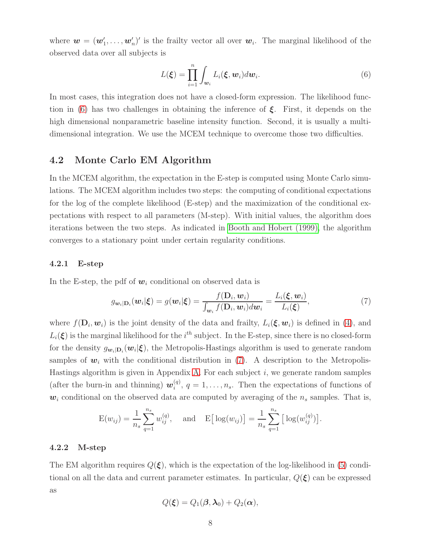where  $\mathbf{w} = (\mathbf{w}'_1, \dots, \mathbf{w}'_n)'$  is the frailty vector all over  $\mathbf{w}_i$ . The marginal likelihood of the observed data over all subjects is

<span id="page-7-0"></span>
$$
L(\boldsymbol{\xi}) = \prod_{i=1}^{n} \int_{\boldsymbol{w}_i} L_i(\boldsymbol{\xi}, \boldsymbol{w}_i) d\boldsymbol{w}_i.
$$
 (6)

In most cases, this integration does not have a closed-form expression. The likelihood func-tion in [\(6\)](#page-7-0) has two challenges in obtaining the inference of  $\xi$ . First, it depends on the high dimensional nonparametric baseline intensity function. Second, it is usually a multidimensional integration. We use the MCEM technique to overcome those two difficulties.

### 4.2 Monte Carlo EM Algorithm

In the MCEM algorithm, the expectation in the E-step is computed using Monte Carlo simulations. The MCEM algorithm includes two steps: the computing of conditional expectations for the log of the complete likelihood (E-step) and the maximization of the conditional expectations with respect to all parameters (M-step). With initial values, the algorithm does iterations between the two steps. As indicated in [Booth and Hobert](#page-21-2) (1999), the algorithm converges to a stationary point under certain regularity conditions.

#### 4.2.1 E-step

In the E-step, the pdf of  $w_i$  conditional on observed data is

<span id="page-7-1"></span>
$$
g_{\mathbf{w}_i|\mathbf{D}_i}(\mathbf{w}_i|\boldsymbol{\xi}) = g(\mathbf{w}_i|\boldsymbol{\xi}) = \frac{f(\mathbf{D}_i, \mathbf{w}_i)}{\int_{\mathbf{w}_i} f(\mathbf{D}_i, \mathbf{w}_i) d\mathbf{w}_i} = \frac{L_i(\boldsymbol{\xi}, \mathbf{w}_i)}{L_i(\boldsymbol{\xi})},
$$
(7)

where  $f(\mathbf{D}_i, \mathbf{w}_i)$  is the joint density of the data and frailty,  $L_i(\boldsymbol{\xi}, \mathbf{w}_i)$  is defined in [\(4\)](#page-6-1), and  $L_i(\xi)$  is the marginal likelihood for the i<sup>th</sup> subject. In the E-step, since there is no closed-form for the density  $g_{w_i|D_i}(w_i|\xi)$ , the Metropolis-Hastings algorithm is used to generate random samples of  $w_i$  with the conditional distribution in [\(7\)](#page-7-1). A description to the Metropolis-Hastings algorithm is given in Appendix [A.](#page-20-0) For each subject  $i$ , we generate random samples (after the burn-in and thinning)  $w_i^{(q)}$  $i^{(q)}$ ,  $q = 1, \ldots, n_s$ . Then the expectations of functions of  $w_i$  conditional on the observed data are computed by averaging of the  $n_s$  samples. That is,

$$
E(w_{ij}) = \frac{1}{n_s} \sum_{q=1}^{n_s} w_{ij}^{(q)},
$$
 and  $E[\log(w_{ij})] = \frac{1}{n_s} \sum_{q=1}^{n_s} [\log(w_{ij}^{(q)})].$ 

#### 4.2.2 M-step

The EM algorithm requires  $Q(\xi)$ , which is the expectation of the log-likelihood in [\(5\)](#page-6-2) conditional on all the data and current parameter estimates. In particular,  $Q(\boldsymbol{\xi})$  can be expressed as

$$
Q(\xi) = Q_1(\boldsymbol{\beta}, \boldsymbol{\lambda}_0) + Q_2(\boldsymbol{\alpha}),
$$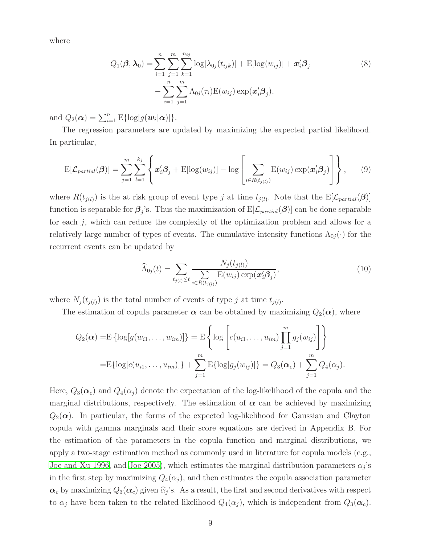where

$$
Q_1(\boldsymbol{\beta}, \boldsymbol{\lambda}_0) = \sum_{i=1}^n \sum_{j=1}^m \sum_{k=1}^{n_{ij}} \log[\lambda_{0j}(t_{ijk})] + \mathrm{E}[\log(w_{ij})] + \boldsymbol{x}_i' \boldsymbol{\beta}_j
$$
  

$$
- \sum_{i=1}^n \sum_{j=1}^m \Lambda_{0j}(\tau_i) \mathrm{E}(w_{ij}) \exp(\boldsymbol{x}_i' \boldsymbol{\beta}_j),
$$
 (8)

and  $Q_2(\boldsymbol{\alpha}) = \sum_{i=1}^n \mathrm{E}\{\log[g(\boldsymbol{w}_i|\boldsymbol{\alpha})]\}.$ 

The regression parameters are updated by maximizing the expected partial likelihood. In particular,

$$
E[\mathcal{L}_{partial}(\boldsymbol{\beta})] = \sum_{j=1}^{m} \sum_{l=1}^{k_j} \left\{ \boldsymbol{x}'_i \boldsymbol{\beta}_j + E[\log(w_{ij})] - \log \left[ \sum_{i \in R(t_{j(l)})} E(w_{ij}) \exp(\boldsymbol{x}'_i \boldsymbol{\beta}_j) \right] \right\}, \qquad (9)
$$

where  $R(t_{j(l)})$  is the at risk group of event type j at time  $t_{j(l)}$ . Note that the  $E[\mathcal{L}_{partial}(\beta)]$ function is separable for  $\beta_j$ 's. Thus the maximization of  $E[\mathcal{L}_{partial}(\beta)]$  can be done separable for each  $j$ , which can reduce the complexity of the optimization problem and allows for a relatively large number of types of events. The cumulative intensity functions  $\Lambda_{0i}(\cdot)$  for the recurrent events can be updated by

$$
\widehat{\Lambda}_{0j}(t) = \sum_{t_{j(l)} \le t} \frac{N_j(t_{j(l)})}{\sum_{i \in R(t_{j(l)})} \mathrm{E}(w_{ij}) \exp(\mathbf{x}'_i \mathbf{\beta}_j)},\tag{10}
$$

where  $N_j(t_{j(l)})$  is the total number of events of type j at time  $t_{j(l)}$ .

The estimation of copula parameter  $\alpha$  can be obtained by maximizing  $Q_2(\alpha)$ , where

$$
Q_2(\boldsymbol{\alpha}) = \mathbb{E} \left\{ \log[g(w_{i1}, \dots, w_{im})] \right\} = \mathbb{E} \left\{ \log \left[ c(u_{i1}, \dots, u_{im}) \prod_{j=1}^m g_j(w_{ij}) \right] \right\}
$$
  
=  $\mathbb{E} \left\{ \log[c(u_{i1}, \dots, u_{im})] \right\} + \sum_{j=1}^m \mathbb{E} \left\{ \log[g_j(w_{ij})] \right\} = Q_3(\boldsymbol{\alpha}_c) + \sum_{j=1}^m Q_4(\alpha_j).$ 

Here,  $Q_3(\alpha_c)$  and  $Q_4(\alpha_j)$  denote the expectation of the log-likelihood of the copula and the marginal distributions, respectively. The estimation of  $\alpha$  can be achieved by maximizing  $Q_2(\alpha)$ . In particular, the forms of the expected log-likelihood for Gaussian and Clayton copula with gamma marginals and their score equations are derived in Appendix B. For the estimation of the parameters in the copula function and marginal distributions, we apply a two-stage estimation method as commonly used in literature for copula models (e.g., [Joe and Xu 1996,](#page-22-10) and [Joe 2005\)](#page-22-11), which estimates the marginal distribution parameters  $\alpha_j$ 's in the first step by maximizing  $Q_4(\alpha_j)$ , and then estimates the copula association parameter  $\alpha_c$  by maximizing  $Q_3(\alpha_c)$  given  $\widehat{\alpha}_j$ 's. As a result, the first and second derivatives with respect to  $\alpha_j$  have been taken to the related likelihood  $Q_4(\alpha_j)$ , which is independent from  $Q_3(\alpha_c)$ .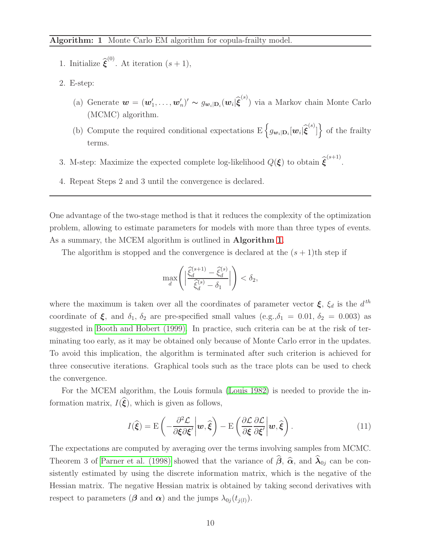- <span id="page-9-0"></span>1. Initialize  $\widehat{\boldsymbol{\xi}}^{(0)}$ . At iteration  $(s + 1)$ ,
- 2. E-step:
	- (a) Generate  $\mathbf{w} = (\mathbf{w}'_1, \dots, \mathbf{w}'_n)' \sim g_{\mathbf{w}_i|\mathbf{D}_i}(\mathbf{w}_i|\widehat{\boldsymbol{\xi}}^{(s)})$  via a Markov chain Monte Carlo (MCMC) algorithm.
	- (b) Compute the required conditional expectations  $E\left\{g_{\mathbf{w}_i|\mathbf{D}_i}[\mathbf{w}_i|\hat{\boldsymbol{\xi}}^{(s)}]\right\}$  of the frailty terms.
- 3. M-step: Maximize the expected complete log-likelihood  $Q(\boldsymbol{\xi})$  to obtain  $\widehat{\boldsymbol{\xi}}^{(s+1)}$ .
- 4. Repeat Steps 2 and 3 until the convergence is declared.

One advantage of the two-stage method is that it reduces the complexity of the optimization problem, allowing to estimate parameters for models with more than three types of events. As a summary, the MCEM algorithm is outlined in **Algorithm [1](#page-9-0)**.

The algorithm is stopped and the convergence is declared at the  $(s + 1)$ th step if

$$
\max_{d}\left(\Big|\frac{\widehat{\xi}_{d}^{(s+1)}-\widehat{\xi}_{d}^{(s)}}{\widehat{\xi}_{d}^{(s)}-\delta_{1}}\Big|\right)<\delta_{2},
$$

where the maximum is taken over all the coordinates of parameter vector  $\xi$ ,  $\xi_d$  is the  $d^{th}$ coordinate of  $\xi$ , and  $\delta_1$ ,  $\delta_2$  are pre-specified small values (e.g.,  $\delta_1 = 0.01$ ,  $\delta_2 = 0.003$ ) as suggested in [Booth and Hobert \(1999\).](#page-21-2) In practice, such criteria can be at the risk of terminating too early, as it may be obtained only because of Monte Carlo error in the updates. To avoid this implication, the algorithm is terminated after such criterion is achieved for three consecutive iterations. Graphical tools such as the trace plots can be used to check the convergence.

For the MCEM algorithm, the Louis formula [\(Louis 1982\)](#page-22-12) is needed to provide the information matrix,  $I(\hat{\xi})$ , which is given as follows,

$$
I(\hat{\boldsymbol{\xi}}) = \mathcal{E}\left(-\frac{\partial^2 \mathcal{L}}{\partial \boldsymbol{\xi} \partial \boldsymbol{\xi}'} \bigg| \boldsymbol{w}, \hat{\boldsymbol{\xi}}\right) - \mathcal{E}\left(\frac{\partial \mathcal{L}}{\partial \boldsymbol{\xi}} \frac{\partial \mathcal{L}}{\partial \boldsymbol{\xi}'} \bigg| \boldsymbol{w}, \hat{\boldsymbol{\xi}}\right).
$$
(11)

The expectations are computed by averaging over the terms involving samples from MCMC. Theorem 3 of [Parner et al. \(1998\)](#page-23-7) showed that the variance of  $\beta$ ,  $\hat{\alpha}$ , and  $\lambda_{0j}$  can be consistently estimated by using the discrete information matrix, which is the negative of the Hessian matrix. The negative Hessian matrix is obtained by taking second derivatives with respect to parameters ( $\beta$  and  $\alpha$ ) and the jumps  $\lambda_{0j}(t_{j(l)})$ .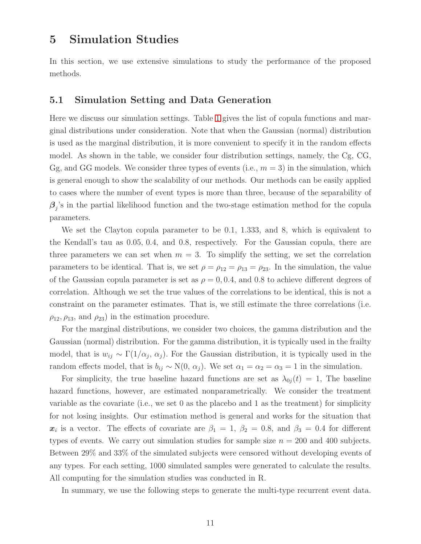# <span id="page-10-0"></span>5 Simulation Studies

In this section, we use extensive simulations to study the performance of the proposed methods.

### 5.1 Simulation Setting and Data Generation

Here we discuss our simulation settings. Table [1](#page-11-0) gives the list of copula functions and marginal distributions under consideration. Note that when the Gaussian (normal) distribution is used as the marginal distribution, it is more convenient to specify it in the random effects model. As shown in the table, we consider four distribution settings, namely, the Cg, CG, Gg, and GG models. We consider three types of events (i.e.,  $m = 3$ ) in the simulation, which is general enough to show the scalability of our methods. Our methods can be easily applied to cases where the number of event types is more than three, because of the separability of  $\beta_j$ 's in the partial likelihood function and the two-stage estimation method for the copula parameters.

We set the Clayton copula parameter to be 0.1, 1.333, and 8, which is equivalent to the Kendall's tau as 0.05, 0.4, and 0.8, respectively. For the Gaussian copula, there are three parameters we can set when  $m = 3$ . To simplify the setting, we set the correlation parameters to be identical. That is, we set  $\rho = \rho_{12} = \rho_{13} = \rho_{23}$ . In the simulation, the value of the Gaussian copula parameter is set as  $\rho = 0, 0.4$ , and 0.8 to achieve different degrees of correlation. Although we set the true values of the correlations to be identical, this is not a constraint on the parameter estimates. That is, we still estimate the three correlations (i.e.  $\rho_{12}, \rho_{13}$ , and  $\rho_{23}$ ) in the estimation procedure.

For the marginal distributions, we consider two choices, the gamma distribution and the Gaussian (normal) distribution. For the gamma distribution, it is typically used in the frailty model, that is  $w_{ij} \sim \Gamma(1/\alpha_j, \alpha_j)$ . For the Gaussian distribution, it is typically used in the random effects model, that is  $b_{ij} \sim N(0, \alpha_j)$ . We set  $\alpha_1 = \alpha_2 = \alpha_3 = 1$  in the simulation.

For simplicity, the true baseline hazard functions are set as  $\lambda_{0j}(t) = 1$ , The baseline hazard functions, however, are estimated nonparametrically. We consider the treatment variable as the covariate (i.e., we set 0 as the placebo and 1 as the treatment) for simplicity for not losing insights. Our estimation method is general and works for the situation that  $x_i$  is a vector. The effects of covariate are  $\beta_1 = 1, \beta_2 = 0.8$ , and  $\beta_3 = 0.4$  for different types of events. We carry out simulation studies for sample size  $n = 200$  and 400 subjects. Between 29% and 33% of the simulated subjects were censored without developing events of any types. For each setting, 1000 simulated samples were generated to calculate the results. All computing for the simulation studies was conducted in R.

In summary, we use the following steps to generate the multi-type recurrent event data.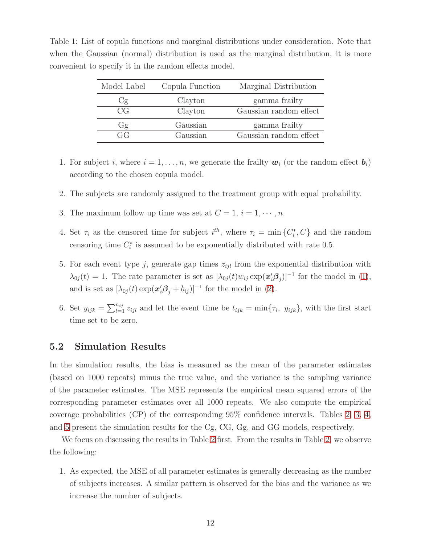| Model Label | Copula Function | Marginal Distribution  |
|-------------|-----------------|------------------------|
| Сg          | Clayton         | gamma frailty          |
| CG          | Clayton         | Gaussian random effect |
| Gg          | Gaussian        | gamma frailty          |
| GG 1        | Gaussian        | Gaussian random effect |

<span id="page-11-0"></span>Table 1: List of copula functions and marginal distributions under consideration. Note that when the Gaussian (normal) distribution is used as the marginal distribution, it is more convenient to specify it in the random effects model.

- 1. For subject i, where  $i = 1, \ldots, n$ , we generate the frailty  $w_i$  (or the random effect  $b_i$ ) according to the chosen copula model.
- 2. The subjects are randomly assigned to the treatment group with equal probability.
- 3. The maximum follow up time was set at  $C = 1$ ,  $i = 1, \dots, n$ .
- 4. Set  $\tau_i$  as the censored time for subject  $i^{th}$ , where  $\tau_i = \min\{C_i^*, C\}$  and the random censoring time  $C_i^*$  is assumed to be exponentially distributed with rate 0.5.
- 5. For each event type j, generate gap times  $z_{ijl}$  from the exponential distribution with  $\lambda_{0j}(t) = 1$ . The rate parameter is set as  $[\lambda_{0j}(t)w_{ij} \exp(\mathbf{x}_i'\mathbf{\beta}_j)]^{-1}$  for the model in [\(1\)](#page-3-1), and is set as  $[\lambda_{0j}(t) \exp(\mathbf{x}'_i \boldsymbol{\beta}_j + b_{ij})]^{-1}$  for the model in [\(2\)](#page-4-1).
- 6. Set  $y_{ijk} = \sum_{l=1}^{n_{ij}} z_{ijl}$  and let the event time be  $t_{ijk} = \min\{\tau_i, y_{ijk}\}\$ , with the first start time set to be zero.

### 5.2 Simulation Results

In the simulation results, the bias is measured as the mean of the parameter estimates (based on 1000 repeats) minus the true value, and the variance is the sampling variance of the parameter estimates. The MSE represents the empirical mean squared errors of the corresponding parameter estimates over all 1000 repeats. We also compute the empirical coverage probabilities (CP) of the corresponding 95% confidence intervals. Tables [2,](#page-12-0) [3,](#page-13-0) [4,](#page-14-0) and [5](#page-15-0) present the simulation results for the Cg, CG, Gg, and GG models, respectively.

We focus on discussing the results in Table [2](#page-12-0) first. From the results in Table [2,](#page-12-0) we observe the following:

1. As expected, the MSE of all parameter estimates is generally decreasing as the number of subjects increases. A similar pattern is observed for the bias and the variance as we increase the number of subjects.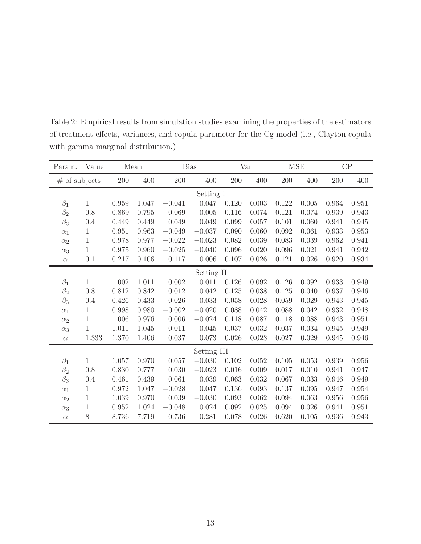| Param.          | Value        | Mean  |       | <b>Bias</b> |             | Var   |       | <b>MSE</b> |       | $\mathrm{CP}$ |       |  |
|-----------------|--------------|-------|-------|-------------|-------------|-------|-------|------------|-------|---------------|-------|--|
| $#$ of subjects |              | 200   | 400   | 200         | 400         | 200   | 400   | 200        | 400   | 200           | 400   |  |
|                 | Setting I    |       |       |             |             |       |       |            |       |               |       |  |
| $\beta_1$       | $\mathbf{1}$ | 0.959 | 1.047 | $-0.041$    | 0.047       | 0.120 | 0.003 | 0.122      | 0.005 | 0.964         | 0.951 |  |
| $\beta_2$       | 0.8          | 0.869 | 0.795 | 0.069       | $-0.005$    | 0.116 | 0.074 | 0.121      | 0.074 | 0.939         | 0.943 |  |
| $\beta_3$       | 0.4          | 0.449 | 0.449 | 0.049       | 0.049       | 0.099 | 0.057 | 0.101      | 0.060 | 0.941         | 0.945 |  |
| $\alpha_1$      | 1            | 0.951 | 0.963 | $-0.049$    | $-0.037$    | 0.090 | 0.060 | 0.092      | 0.061 | 0.933         | 0.953 |  |
| $\alpha_2$      | $\mathbf{1}$ | 0.978 | 0.977 | $-0.022$    | $-0.023$    | 0.082 | 0.039 | 0.083      | 0.039 | 0.962         | 0.941 |  |
| $\alpha_3$      | $\mathbf{1}$ | 0.975 | 0.960 | $-0.025$    | $-0.040$    | 0.096 | 0.020 | 0.096      | 0.021 | 0.941         | 0.942 |  |
| $\alpha$        | 0.1          | 0.217 | 0.106 | 0.117       | 0.006       | 0.107 | 0.026 | 0.121      | 0.026 | 0.920         | 0.934 |  |
|                 | Setting II   |       |       |             |             |       |       |            |       |               |       |  |
| $\beta_1$       | $\mathbf{1}$ | 1.002 | 1.011 | 0.002       | 0.011       | 0.126 | 0.092 | 0.126      | 0.092 | 0.933         | 0.949 |  |
| $\beta_2$       | 0.8          | 0.812 | 0.842 | 0.012       | 0.042       | 0.125 | 0.038 | 0.125      | 0.040 | 0.937         | 0.946 |  |
| $\beta_3$       | 0.4          | 0.426 | 0.433 | 0.026       | 0.033       | 0.058 | 0.028 | 0.059      | 0.029 | 0.943         | 0.945 |  |
| $\alpha_1$      | 1            | 0.998 | 0.980 | $-0.002$    | $-0.020$    | 0.088 | 0.042 | 0.088      | 0.042 | 0.932         | 0.948 |  |
| $\alpha_2$      | 1            | 1.006 | 0.976 | 0.006       | $-0.024$    | 0.118 | 0.087 | 0.118      | 0.088 | 0.943         | 0.951 |  |
| $\alpha_3$      | $\mathbf{1}$ | 1.011 | 1.045 | 0.011       | 0.045       | 0.037 | 0.032 | 0.037      | 0.034 | 0.945         | 0.949 |  |
| $\alpha$        | 1.333        | 1.370 | 1.406 | 0.037       | 0.073       | 0.026 | 0.023 | 0.027      | 0.029 | 0.945         | 0.946 |  |
|                 |              |       |       |             | Setting III |       |       |            |       |               |       |  |
| $\beta_1$       | $\mathbf{1}$ | 1.057 | 0.970 | 0.057       | $-0.030$    | 0.102 | 0.052 | 0.105      | 0.053 | 0.939         | 0.956 |  |
| $\beta_2$       | 0.8          | 0.830 | 0.777 | 0.030       | $-0.023$    | 0.016 | 0.009 | 0.017      | 0.010 | 0.941         | 0.947 |  |
| $\beta_3$       | 0.4          | 0.461 | 0.439 | 0.061       | 0.039       | 0.063 | 0.032 | 0.067      | 0.033 | 0.946         | 0.949 |  |
| $\alpha_1$      | $\mathbf{1}$ | 0.972 | 1.047 | $-0.028$    | 0.047       | 0.136 | 0.093 | 0.137      | 0.095 | 0.947         | 0.954 |  |
| $\alpha_2$      | $\mathbf{1}$ | 1.039 | 0.970 | 0.039       | $-0.030$    | 0.093 | 0.062 | 0.094      | 0.063 | 0.956         | 0.956 |  |
| $\alpha_3$      | $\mathbf 1$  | 0.952 | 1.024 | $-0.048$    | 0.024       | 0.092 | 0.025 | 0.094      | 0.026 | 0.941         | 0.951 |  |
| $\alpha$        | 8            | 8.736 | 7.719 | 0.736       | $-0.281$    | 0.078 | 0.026 | 0.620      | 0.105 | 0.936         | 0.943 |  |

<span id="page-12-0"></span>Table 2: Empirical results from simulation studies examining the properties of the estimators of treatment effects, variances, and copula parameter for the Cg model (i.e., Clayton copula with gamma marginal distribution.)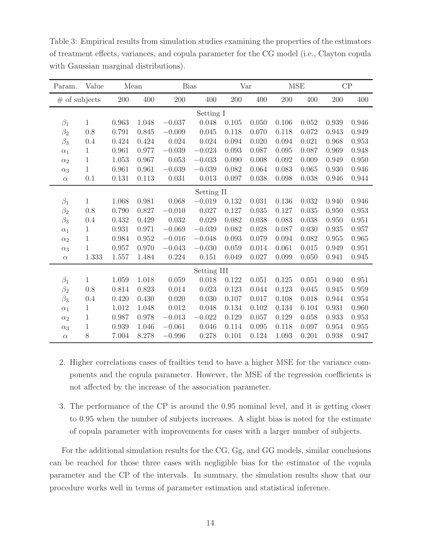| Param.          | Value        | Mean  |       | <b>Bias</b> |             | Var   |       | <b>MSE</b> |       |       | CP    |
|-----------------|--------------|-------|-------|-------------|-------------|-------|-------|------------|-------|-------|-------|
| $#$ of subjects |              | 200   | 400   | 200         | 400         | 200   | 400   | 200        | 400   | 200   | 400   |
|                 | Setting I    |       |       |             |             |       |       |            |       |       |       |
| $\beta_1$       | 1            | 0.963 | 1.048 | $-0.037$    | 0.048       | 0.105 | 0.050 | 0.106      | 0.052 | 0.939 | 0.946 |
| $\beta_2$       | 0.8          | 0.791 | 0.845 | $-0.009$    | 0.045       | 0.118 | 0.070 | 0.118      | 0.072 | 0.943 | 0.949 |
| $\beta_3$       | 0.4          | 0.424 | 0.424 | 0.024       | 0.024       | 0.094 | 0.020 | 0.094      | 0.021 | 0.968 | 0.953 |
| $\alpha_1$      | 1            | 0.961 | 0.977 | $-0.039$    | $-0.023$    | 0.093 | 0.087 | 0.095      | 0.087 | 0.969 | 0.948 |
| $\alpha_2$      | $\mathbf 1$  | 1.053 | 0.967 | 0.053       | $-0.033$    | 0.090 | 0.008 | 0.092      | 0.009 | 0.949 | 0.950 |
| $\alpha_3$      | 1            | 0.961 | 0.961 | $-0.039$    | $-0.039$    | 0.082 | 0.064 | 0.083      | 0.065 | 0.930 | 0.946 |
| $\alpha$        | 0.1          | 0.131 | 0.113 | 0.031       | 0.013       | 0.097 | 0.038 | 0.098      | 0.038 | 0.946 | 0.944 |
|                 | Setting II   |       |       |             |             |       |       |            |       |       |       |
| $\beta_1$       | $\mathbf{1}$ | 1.068 | 0.981 | 0.068       | $-0.019$    | 0.132 | 0.031 | 0.136      | 0.032 | 0.940 | 0.946 |
| $\beta_2$       | 0.8          | 0.790 | 0.827 | $-0.010$    | 0.027       | 0.127 | 0.035 | 0.127      | 0.035 | 0.950 | 0.953 |
| $\beta_3$       | 0.4          | 0.432 | 0.429 | $\,0.032\,$ | 0.029       | 0.082 | 0.038 | 0.083      | 0.038 | 0.950 | 0.951 |
| $\alpha_1$      | $\mathbf{1}$ | 0.931 | 0.971 | $-0.069$    | $-0.039$    | 0.082 | 0.028 | 0.087      | 0.030 | 0.935 | 0.957 |
| $\alpha_2$      | 1            | 0.984 | 0.952 | $-0.016$    | $-0.048$    | 0.093 | 0.079 | 0.094      | 0.082 | 0.955 | 0.965 |
| $\alpha_3$      | $\mathbf 1$  | 0.957 | 0.970 | $-0.043$    | $-0.030$    | 0.059 | 0.014 | 0.061      | 0.015 | 0.949 | 0.951 |
| $\alpha$        | 1.333        | 1.557 | 1.484 | 0.224       | 0.151       | 0.049 | 0.027 | 0.099      | 0.050 | 0.941 | 0.945 |
|                 |              |       |       |             | Setting III |       |       |            |       |       |       |
| $\beta_1$       | $\mathbf 1$  | 1.059 | 1.018 | 0.059       | 0.018       | 0.122 | 0.051 | 0.125      | 0.051 | 0.940 | 0.951 |
| $\beta_2$       | 0.8          | 0.814 | 0.823 | 0.014       | 0.023       | 0.123 | 0.044 | 0.123      | 0.045 | 0.945 | 0.959 |
| $\beta_3$       | 0.4          | 0.420 | 0.430 | 0.020       | 0.030       | 0.107 | 0.017 | 0.108      | 0.018 | 0.944 | 0.954 |
| $\alpha_1$      | 1            | 1.012 | 1.048 | 0.012       | 0.048       | 0.134 | 0.102 | 0.134      | 0.104 | 0.931 | 0.960 |
| $\alpha_2$      | $\mathbf{1}$ | 0.987 | 0.978 | $-0.013$    | $-0.022$    | 0.129 | 0.057 | 0.129      | 0.058 | 0.933 | 0.953 |
| $\alpha_3$      | 1            | 0.939 | 1.046 | $-0.061$    | 0.046       | 0.114 | 0.095 | 0.118      | 0.097 | 0.954 | 0.955 |
| $\alpha$        | 8            | 7.004 | 8.278 | $-0.996$    | 0.278       | 0.101 | 0.124 | 1.093      | 0.201 | 0.938 | 0.947 |

<span id="page-13-0"></span>Table 3: Empirical results from simulation studies examining the properties of the estimators of treatment effects, variances, and copula parameter for the CG model (i.e., Clayton copula with Gaussian marginal distributions).

- 2. Higher correlations cases of frailties tend to have a higher MSE for the variance components and the copula parameter. However, the MSE of the regression coefficients is not affected by the increase of the association parameter.
- 3. The performance of the CP is around the 0.95 nominal level, and it is getting closer to 0.95 when the number of subjects increases. A slight bias is noted for the estimate of copula parameter with improvements for cases with a larger number of subjects.

For the additional simulation results for the CG, Gg, and GG models, similar conclusions can be reached for those three cases with negligible bias for the estimator of the copula parameter and the CP of the intervals. In summary, the simulation results show that our procedure works well in terms of parameter estimation and statistical inference.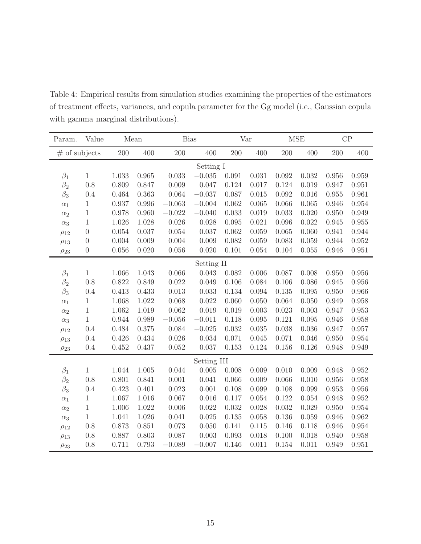| Param.          | Value            | Mean      |       | <b>Bias</b> |             | Var     |       | <b>MSE</b> |       | CP    |       |  |
|-----------------|------------------|-----------|-------|-------------|-------------|---------|-------|------------|-------|-------|-------|--|
| $#$ of subjects |                  | 200       | 400   | 200         | 400         | $200\,$ | 400   | 200        | 400   | 200   | 400   |  |
|                 |                  | Setting I |       |             |             |         |       |            |       |       |       |  |
| $\beta_1$       | 1                | 1.033     | 0.965 | 0.033       | $-0.035$    | 0.091   | 0.031 | 0.092      | 0.032 | 0.956 | 0.959 |  |
| $\beta_2$       | 0.8              | 0.809     | 0.847 | 0.009       | 0.047       | 0.124   | 0.017 | 0.124      | 0.019 | 0.947 | 0.951 |  |
| $\beta_3$       | 0.4              | 0.464     | 0.363 | 0.064       | $-0.037$    | 0.087   | 0.015 | 0.092      | 0.016 | 0.955 | 0.961 |  |
| $\alpha_1$      | $\mathbf 1$      | 0.937     | 0.996 | $-0.063$    | $-0.004$    | 0.062   | 0.065 | 0.066      | 0.065 | 0.946 | 0.954 |  |
| $\alpha_2$      | $\mathbf{1}$     | 0.978     | 0.960 | $-0.022$    | $-0.040$    | 0.033   | 0.019 | 0.033      | 0.020 | 0.950 | 0.949 |  |
| $\alpha_3$      | $\mathbf 1$      | 1.026     | 1.028 | 0.026       | 0.028       | 0.095   | 0.021 | 0.096      | 0.022 | 0.945 | 0.955 |  |
| $\rho_{12}$     | $\boldsymbol{0}$ | 0.054     | 0.037 | 0.054       | 0.037       | 0.062   | 0.059 | 0.065      | 0.060 | 0.941 | 0.944 |  |
| $\rho_{13}$     | $\boldsymbol{0}$ | 0.004     | 0.009 | 0.004       | 0.009       | 0.082   | 0.059 | 0.083      | 0.059 | 0.944 | 0.952 |  |
| $\rho_{23}$     | $\boldsymbol{0}$ | 0.056     | 0.020 | $0.056\,$   | 0.020       | 0.101   | 0.054 | 0.104      | 0.055 | 0.946 | 0.951 |  |
|                 | Setting II       |           |       |             |             |         |       |            |       |       |       |  |
| $\beta_1$       | $\mathbf 1$      | 1.066     | 1.043 | 0.066       | 0.043       | 0.082   | 0.006 | 0.087      | 0.008 | 0.950 | 0.956 |  |
| $\beta_2$       | 0.8              | 0.822     | 0.849 | 0.022       | 0.049       | 0.106   | 0.084 | 0.106      | 0.086 | 0.945 | 0.956 |  |
| $\beta_3$       | 0.4              | 0.413     | 0.433 | 0.013       | 0.033       | 0.134   | 0.094 | $0.135\,$  | 0.095 | 0.950 | 0.966 |  |
| $\alpha_1$      | 1                | 1.068     | 1.022 | 0.068       | 0.022       | 0.060   | 0.050 | 0.064      | 0.050 | 0.949 | 0.958 |  |
| $\alpha_2$      | $\mathbf 1$      | 1.062     | 1.019 | 0.062       | 0.019       | 0.019   | 0.003 | 0.023      | 0.003 | 0.947 | 0.953 |  |
| $\alpha_3$      | $\mathbf{1}$     | 0.944     | 0.989 | $-0.056$    | $-0.011$    | 0.118   | 0.095 | 0.121      | 0.095 | 0.946 | 0.958 |  |
| $\rho_{12}$     | 0.4              | 0.484     | 0.375 | 0.084       | $-0.025$    | 0.032   | 0.035 | 0.038      | 0.036 | 0.947 | 0.957 |  |
| $\rho_{13}$     | 0.4              | 0.426     | 0.434 | 0.026       | 0.034       | 0.071   | 0.045 | 0.071      | 0.046 | 0.950 | 0.954 |  |
| $\rho_{23}$     | 0.4              | 0.452     | 0.437 | $0.052\,$   | 0.037       | 0.153   | 0.124 | 0.156      | 0.126 | 0.948 | 0.949 |  |
|                 |                  |           |       |             | Setting III |         |       |            |       |       |       |  |
| $\beta_1$       | $\mathbf{1}$     | 1.044     | 1.005 | 0.044       | 0.005       | 0.008   | 0.009 | 0.010      | 0.009 | 0.948 | 0.952 |  |
| $\beta_2$       | 0.8              | 0.801     | 0.841 | 0.001       | 0.041       | 0.066   | 0.009 | 0.066      | 0.010 | 0.956 | 0.958 |  |
| $\beta_3$       | 0.4              | 0.423     | 0.401 | 0.023       | 0.001       | 0.108   | 0.099 | 0.108      | 0.099 | 0.953 | 0.956 |  |
| $\alpha_1$      | $\mathbf 1$      | 1.067     | 1.016 | 0.067       | 0.016       | 0.117   | 0.054 | 0.122      | 0.054 | 0.948 | 0.952 |  |
| $\alpha_2$      | $\mathbf{1}$     | 1.006     | 1.022 | 0.006       | 0.022       | 0.032   | 0.028 | 0.032      | 0.029 | 0.950 | 0.954 |  |
| $\alpha_3$      | $\mathbf{1}$     | 1.041     | 1.026 | 0.041       | 0.025       | 0.135   | 0.058 | 0.136      | 0.059 | 0.946 | 0.962 |  |
| $\rho_{12}$     | 0.8              | 0.873     | 0.851 | 0.073       | 0.050       | 0.141   | 0.115 | 0.146      | 0.118 | 0.946 | 0.954 |  |
| $\rho_{13}$     | 0.8              | 0.887     | 0.803 | 0.087       | 0.003       | 0.093   | 0.018 | 0.100      | 0.018 | 0.940 | 0.958 |  |
| $\rho_{23}$     | 0.8              | 0.711     | 0.793 | $-0.089$    | $-0.007$    | 0.146   | 0.011 | 0.154      | 0.011 | 0.949 | 0.951 |  |

<span id="page-14-0"></span>Table 4: Empirical results from simulation studies examining the properties of the estimators of treatment effects, variances, and copula parameter for the Gg model (i.e., Gaussian copula with gamma marginal distributions).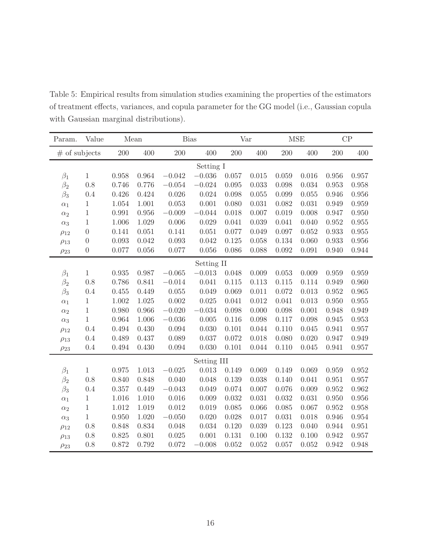| Param.      | Value            | Mean  |       | <b>Bias</b> |             | Var     |       | <b>MSE</b> |           |       | CP          |
|-------------|------------------|-------|-------|-------------|-------------|---------|-------|------------|-----------|-------|-------------|
|             | $#$ of subjects  |       | 400   | 200         | 400         | $200\,$ | 400   | 200        | 400       | 200   | 400         |
|             | Setting I        |       |       |             |             |         |       |            |           |       |             |
| $\beta_1$   | $\mathbf{1}$     | 0.958 | 0.964 | $-0.042$    | $-0.036$    | 0.057   | 0.015 | 0.059      | 0.016     | 0.956 | 0.957       |
| $\beta_2$   | 0.8              | 0.746 | 0.776 | $-0.054$    | $-0.024$    | 0.095   | 0.033 | 0.098      | 0.034     | 0.953 | 0.958       |
| $\beta_3$   | 0.4              | 0.426 | 0.424 | 0.026       | 0.024       | 0.098   | 0.055 | 0.099      | 0.055     | 0.946 | $0.956\,$   |
| $\alpha_1$  | 1                | 1.054 | 1.001 | 0.053       | 0.001       | 0.080   | 0.031 | 0.082      | 0.031     | 0.949 | 0.959       |
| $\alpha_2$  | $\mathbf{1}$     | 0.991 | 0.956 | $-0.009$    | $-0.044$    | 0.018   | 0.007 | 0.019      | 0.008     | 0.947 | 0.950       |
| $\alpha_3$  | $\mathbf 1$      | 1.006 | 1.029 | 0.006       | 0.029       | 0.041   | 0.039 | 0.041      | 0.040     | 0.952 | 0.955       |
| $\rho_{12}$ | $\boldsymbol{0}$ | 0.141 | 0.051 | 0.141       | 0.051       | 0.077   | 0.049 | 0.097      | $0.052\,$ | 0.933 | 0.955       |
| $\rho_{13}$ | $\boldsymbol{0}$ | 0.093 | 0.042 | 0.093       | 0.042       | 0.125   | 0.058 | 0.134      | 0.060     | 0.933 | $0.956\,$   |
| $\rho_{23}$ | $\boldsymbol{0}$ | 0.077 | 0.056 | 0.077       | 0.056       | 0.086   | 0.088 | 0.092      | 0.091     | 0.940 | 0.944       |
|             | Setting II       |       |       |             |             |         |       |            |           |       |             |
| $\beta_1$   | $\mathbf{1}$     | 0.935 | 0.987 | $-0.065$    | $-0.013$    | 0.048   | 0.009 | 0.053      | 0.009     | 0.959 | 0.959       |
| $\beta_2$   | 0.8              | 0.786 | 0.841 | $-0.014$    | 0.041       | 0.115   | 0.113 | 0.115      | 0.114     | 0.949 | 0.960       |
| $\beta_3$   | 0.4              | 0.455 | 0.449 | $0.055\,$   | 0.049       | 0.069   | 0.011 | 0.072      | 0.013     | 0.952 | 0.965       |
| $\alpha_1$  | 1                | 1.002 | 1.025 | 0.002       | 0.025       | 0.041   | 0.012 | 0.041      | 0.013     | 0.950 | 0.955       |
| $\alpha_2$  | $\mathbf 1$      | 0.980 | 0.966 | $-0.020$    | $-0.034$    | 0.098   | 0.000 | 0.098      | 0.001     | 0.948 | 0.949       |
| $\alpha_3$  | $\mathbf{1}$     | 0.964 | 1.006 | $-0.036$    | 0.005       | 0.116   | 0.098 | 0.117      | 0.098     | 0.945 | 0.953       |
| $\rho_{12}$ | 0.4              | 0.494 | 0.430 | 0.094       | 0.030       | 0.101   | 0.044 | 0.110      | 0.045     | 0.941 | 0.957       |
| $\rho_{13}$ | 0.4              | 0.489 | 0.437 | 0.089       | 0.037       | 0.072   | 0.018 | 0.080      | 0.020     | 0.947 | 0.949       |
| $\rho_{23}$ | 0.4              | 0.494 | 0.430 | 0.094       | 0.030       | 0.101   | 0.044 | 0.110      | 0.045     | 0.941 | 0.957       |
|             |                  |       |       |             | Setting III |         |       |            |           |       |             |
| $\beta_1$   | $\mathbf{1}$     | 0.975 | 1.013 | $-0.025$    | 0.013       | 0.149   | 0.069 | 0.149      | 0.069     | 0.959 | $\,0.952\,$ |
| $\beta_2$   | 0.8              | 0.840 | 0.848 | 0.040       | 0.048       | 0.139   | 0.038 | 0.140      | 0.041     | 0.951 | 0.957       |
| $\beta_3$   | 0.4              | 0.357 | 0.449 | $-0.043$    | 0.049       | 0.074   | 0.007 | 0.076      | 0.009     | 0.952 | 0.962       |
| $\alpha_1$  | $\mathbf 1$      | 1.016 | 1.010 | 0.016       | 0.009       | 0.032   | 0.031 | 0.032      | 0.031     | 0.950 | 0.956       |
| $\alpha_2$  | $\mathbf{1}$     | 1.012 | 1.019 | 0.012       | 0.019       | 0.085   | 0.066 | 0.085      | 0.067     | 0.952 | 0.958       |
| $\alpha_3$  | $\mathbf{1}$     | 0.950 | 1.020 | $-0.050$    | 0.020       | 0.028   | 0.017 | 0.031      | 0.018     | 0.946 | 0.954       |
| $\rho_{12}$ | 0.8              | 0.848 | 0.834 | 0.048       | 0.034       | 0.120   | 0.039 | 0.123      | 0.040     | 0.944 | 0.951       |
| $\rho_{13}$ | 0.8              | 0.825 | 0.801 | 0.025       | 0.001       | 0.131   | 0.100 | 0.132      | 0.100     | 0.942 | 0.957       |
| $\rho_{23}$ | 0.8              | 0.872 | 0.792 | 0.072       | $-0.008$    | 0.052   | 0.052 | 0.057      | 0.052     | 0.942 | 0.948       |

<span id="page-15-0"></span>Table 5: Empirical results from simulation studies examining the properties of the estimators of treatment effects, variances, and copula parameter for the GG model (i.e., Gaussian copula with Gaussian marginal distributions).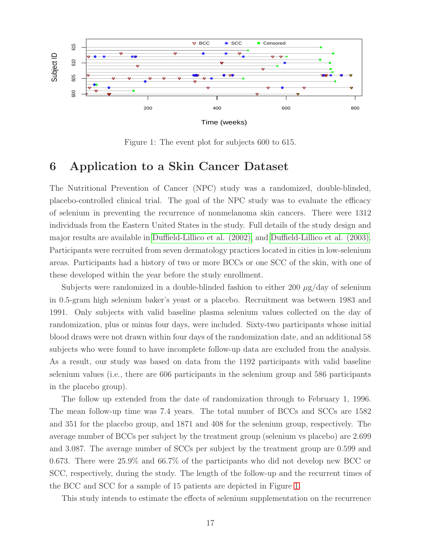<span id="page-16-1"></span>

Figure 1: The event plot for subjects 600 to 615.

# <span id="page-16-0"></span>6 Application to a Skin Cancer Dataset

The Nutritional Prevention of Cancer (NPC) study was a randomized, double-blinded, placebo-controlled clinical trial. The goal of the NPC study was to evaluate the efficacy of selenium in preventing the recurrence of nonmelanoma skin cancers. There were 1312 individuals from the Eastern United States in the study. Full details of the study design and major results are available in [Duffield-Lillico et al. \(2002\),](#page-22-0) and [Duffield-Lillico et al. \(2003\).](#page-22-1) Participants were recruited from seven dermatology practices located in cities in low-selenium areas. Participants had a history of two or more BCCs or one SCC of the skin, with one of these developed within the year before the study enrollment.

Subjects were randomized in a double-blinded fashion to either 200  $\mu$ g/day of selenium in 0.5-gram high selenium baker's yeast or a placebo. Recruitment was between 1983 and 1991. Only subjects with valid baseline plasma selenium values collected on the day of randomization, plus or minus four days, were included. Sixty-two participants whose initial blood draws were not drawn within four days of the randomization date, and an additional 58 subjects who were found to have incomplete follow-up data are excluded from the analysis. As a result, our study was based on data from the 1192 participants with valid baseline selenium values (i.e., there are 606 participants in the selenium group and 586 participants in the placebo group).

The follow up extended from the date of randomization through to February 1, 1996. The mean follow-up time was 7.4 years. The total number of BCCs and SCCs are 1582 and 351 for the placebo group, and 1871 and 408 for the selenium group, respectively. The average number of BCCs per subject by the treatment group (selenium vs placebo) are 2.699 and 3.087. The average number of SCCs per subject by the treatment group are 0.599 and 0.673. There were 25.9% and 66.7% of the participants who did not develop new BCC or SCC, respectively, during the study. The length of the follow-up and the recurrent times of the BCC and SCC for a sample of 15 patients are depicted in Figure [1.](#page-16-1)

This study intends to estimate the effects of selenium supplementation on the recurrence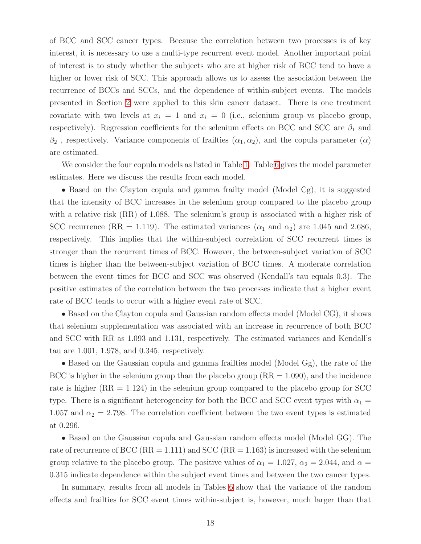of BCC and SCC cancer types. Because the correlation between two processes is of key interest, it is necessary to use a multi-type recurrent event model. Another important point of interest is to study whether the subjects who are at higher risk of BCC tend to have a higher or lower risk of SCC. This approach allows us to assess the association between the recurrence of BCCs and SCCs, and the dependence of within-subject events. The models presented in Section [2](#page-3-0) were applied to this skin cancer dataset. There is one treatment covariate with two levels at  $x_i = 1$  and  $x_i = 0$  (i.e., selenium group vs placebo group, respectively). Regression coefficients for the selenium effects on BCC and SCC are  $\beta_1$  and  $\beta_2$ , respectively. Variance components of frailties  $(\alpha_1, \alpha_2)$ , and the copula parameter  $(\alpha)$ are estimated.

We consider the four copula models as listed in Table [1.](#page-11-0) Table [6](#page-18-0) gives the model parameter estimates. Here we discuss the results from each model.

• Based on the Clayton copula and gamma frailty model (Model Cg), it is suggested that the intensity of BCC increases in the selenium group compared to the placebo group with a relative risk (RR) of 1.088. The selenium's group is associated with a higher risk of SCC recurrence (RR = 1.119). The estimated variances ( $\alpha_1$  and  $\alpha_2$ ) are 1.045 and 2.686, respectively. This implies that the within-subject correlation of SCC recurrent times is stronger than the recurrent times of BCC. However, the between-subject variation of SCC times is higher than the between-subject variation of BCC times. A moderate correlation between the event times for BCC and SCC was observed (Kendall's tau equals 0.3). The positive estimates of the correlation between the two processes indicate that a higher event rate of BCC tends to occur with a higher event rate of SCC.

• Based on the Clayton copula and Gaussian random effects model (Model CG), it shows that selenium supplementation was associated with an increase in recurrence of both BCC and SCC with RR as 1.093 and 1.131, respectively. The estimated variances and Kendall's tau are 1.001, 1.978, and 0.345, respectively.

• Based on the Gaussian copula and gamma frailties model (Model Gg), the rate of the BCC is higher in the selenium group than the placebo group  $(RR = 1.090)$ , and the incidence rate is higher  $(RR = 1.124)$  in the selenium group compared to the placebo group for SCC type. There is a significant heterogeneity for both the BCC and SCC event types with  $\alpha_1 =$ 1.057 and  $\alpha_2 = 2.798$ . The correlation coefficient between the two event types is estimated at 0.296.

• Based on the Gaussian copula and Gaussian random effects model (Model GG). The rate of recurrence of BCC ( $RR = 1.111$ ) and SCC ( $RR = 1.163$ ) is increased with the selenium group relative to the placebo group. The positive values of  $\alpha_1 = 1.027$ ,  $\alpha_2 = 2.044$ , and  $\alpha =$ 0.315 indicate dependence within the subject event times and between the two cancer types.

In summary, results from all models in Tables [6](#page-18-0) show that the variance of the random effects and frailties for SCC event times within-subject is, however, much larger than that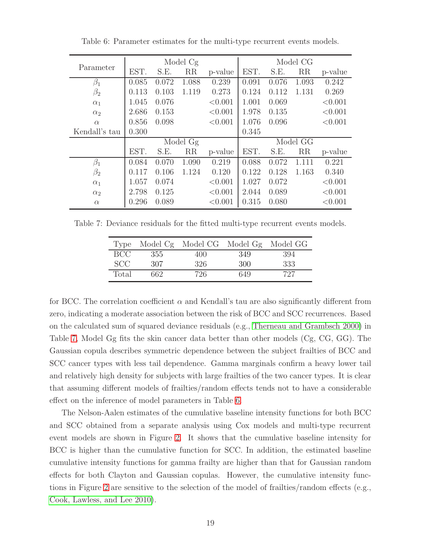|               |       |       | Model Cg |         | Model CG |       |       |         |  |
|---------------|-------|-------|----------|---------|----------|-------|-------|---------|--|
| Parameter     | EST.  | S.E.  | RR       | p-value | EST.     | S.E.  | RR    | p-value |  |
| $\beta_1$     | 0.085 | 0.072 | 1.088    | 0.239   | 0.091    | 0.076 | 1.093 | 0.242   |  |
| $\beta_2$     | 0.113 | 0.103 | 1.119    | 0.273   | 0.124    | 0.112 | 1.131 | 0.269   |  |
| $\alpha_1$    | 1.045 | 0.076 |          | < 0.001 | 1.001    | 0.069 |       | < 0.001 |  |
| $\alpha_2$    | 2.686 | 0.153 |          | < 0.001 | 1.978    | 0.135 |       | < 0.001 |  |
| $\alpha$      | 0.856 | 0.098 |          | < 0.001 | 1.076    | 0.096 |       | < 0.001 |  |
| Kendall's tau | 0.300 |       |          |         | 0.345    |       |       |         |  |
|               |       |       | Model Gg |         | Model GG |       |       |         |  |
|               | EST.  | S.E.  | RR       | p-value | EST.     | S.E.  | RR    | p-value |  |
| $\beta_1$     | 0.084 | 0.070 | 1.090    | 0.219   | 0.088    | 0.072 | 1.111 | 0.221   |  |
| $\beta_2$     | 0.117 | 0.106 | 1.124    | 0.120   | 0.122    | 0.128 | 1.163 | 0.340   |  |
| $\alpha_1$    | 1.057 | 0.074 |          | < 0.001 | 1.027    | 0.072 |       | < 0.001 |  |
| $\alpha_2$    | 2.798 | 0.125 |          | < 0.001 | 2.044    | 0.089 |       | < 0.001 |  |
| $\alpha$      | 0.296 | 0.089 |          | < 0.001 | 0.315    | 0.080 |       | < 0.001 |  |

<span id="page-18-0"></span>Table 6: Parameter estimates for the multi-type recurrent events models.

<span id="page-18-1"></span>Table 7: Deviance residuals for the fitted multi-type recurrent events models.

|       |     | Type Model Cg Model CG Model Gg Model GG |     |     |
|-------|-----|------------------------------------------|-----|-----|
| BCC.  | 355 | 400                                      | 349 | 394 |
| SCC.  | 307 | 326                                      | 300 | 333 |
| Total | 662 | 726                                      | 649 | 727 |

for BCC. The correlation coefficient  $\alpha$  and Kendall's tau are also significantly different from zero, indicating a moderate association between the risk of BCC and SCC recurrences. Based on the calculated sum of squared deviance residuals (e.g., Therneau [and Grambsch 2000\)](#page-23-8) in Table [7,](#page-18-1) Model Gg fits the skin cancer data better than other models (Cg, CG, GG). The Gaussian copula describes symmetric dependence between the subject frailties of BCC and SCC cancer types with less tail dependence. Gamma marginals confirm a heavy lower tail and relatively high density for subjects with large frailties of the two cancer types. It is clear that assuming different models of frailties/random effects tends not to have a considerable effect on the inference of model parameters in Table [6.](#page-18-0)

The Nelson-Aalen estimates of the cumulative baseline intensity functions for both BCC and SCC obtained from a separate analysis using Cox models and multi-type recurrent event models are shown in Figure [2.](#page-19-1) It shows that the cumulative baseline intensity for BCC is higher than the cumulative function for SCC. In addition, the estimated baseline cumulative intensity functions for gamma frailty are higher than that for Gaussian random effects for both Clayton and Gaussian copulas. However, the cumulative intensity functions in Figure [2](#page-19-1) are sensitive to the selection of the model of frailties/random effects (e.g., [Cook, Lawless, and Lee 2010\)](#page-22-7).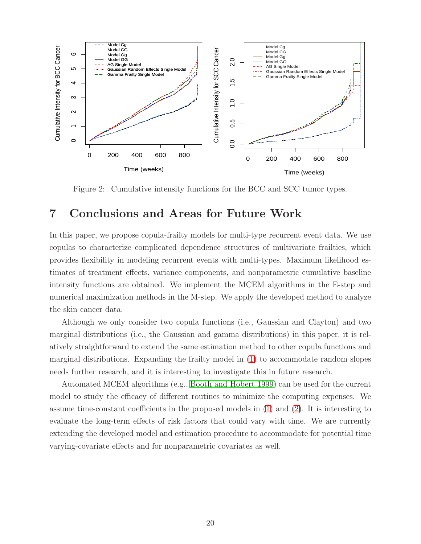<span id="page-19-1"></span>

Figure 2: Cumulative intensity functions for the BCC and SCC tumor types.

# <span id="page-19-0"></span>7 Conclusions and Areas for Future Work

In this paper, we propose copula-frailty models for multi-type recurrent event data. We use copulas to characterize complicated dependence structures of multivariate frailties, which provides flexibility in modeling recurrent events with multi-types. Maximum likelihood estimates of treatment effects, variance components, and nonparametric cumulative baseline intensity functions are obtained. We implement the MCEM algorithms in the E-step and numerical maximization methods in the M-step. We apply the developed method to analyze the skin cancer data.

Although we only consider two copula functions (i.e., Gaussian and Clayton) and two marginal distributions (i.e., the Gaussian and gamma distributions) in this paper, it is relatively straightforward to extend the same estimation method to other copula functions and marginal distributions. Expanding the frailty model in [\(1\)](#page-3-1) to accommodate random slopes needs further research, and it is interesting to investigate this in future research.

Automated MCEM algorithms (e.g., [Booth and Hobert 1999\)](#page-21-2) can be used for the current model to study the efficacy of different routines to minimize the computing expenses. We assume time-constant coefficients in the proposed models in [\(1\)](#page-3-1) and [\(2\)](#page-4-1). It is interesting to evaluate the long-term effects of risk factors that could vary with time. We are currently extending the developed model and estimation procedure to accommodate for potential time varying-covariate effects and for nonparametric covariates as well.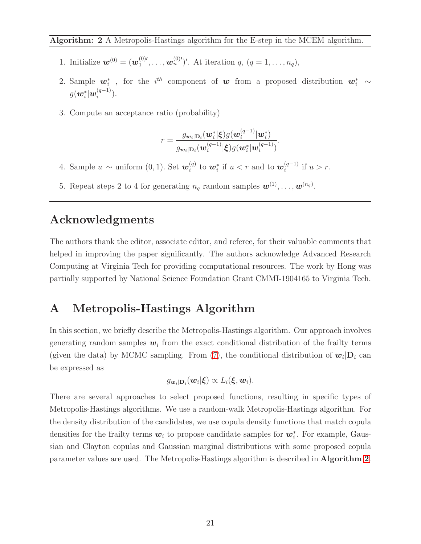<span id="page-20-1"></span>Algorithm: 2 A Metropolis-Hastings algorithm for the E-step in the MCEM algorithm.

- 1. Initialize  $w^{(0)} = (w_1^{(0) \prime})$  $\{a_1^{(0)}', \ldots, a_n^{(0)}'\}'$ . At iteration  $q, (q = 1, \ldots, n_q)$ ,
- 2. Sample  $w_i^*$ , for the  $i^{th}$  component of w from a proposed distribution  $w_i^* \sim$  $g(\boldsymbol{w}_i^*|\boldsymbol{w}_i^{(q-1)}$  $\binom{(q-1)}{i}$ .
- 3. Compute an acceptance ratio (probability)

$$
r=\frac{g_{\boldsymbol{w}_i|\mathbf{D}_i}(\boldsymbol{w}_i^*|\boldsymbol{\xi})g(\boldsymbol{w}_i^{(q-1)}|\boldsymbol{w}_i^*)}{g_{\boldsymbol{w}_i|\mathbf{D}_i}(\boldsymbol{w}_i^{(q-1)}|\boldsymbol{\xi})g(\boldsymbol{w}_i^*|\boldsymbol{w}_i^{(q-1)})}.
$$

- 4. Sample  $u \sim$  uniform  $(0, 1)$ . Set  $w_i^{(q)}$  $\mathbf{w}_i^{(q)}$  to  $\mathbf{w}_i^*$  if  $u < r$  and to  $\mathbf{w}_i^{(q-1)}$  $i^{(q-1)}$  if  $u > r$ .
- 5. Repeat steps 2 to 4 for generating  $n_q$  random samples  $\mathbf{w}^{(1)}, \ldots, \mathbf{w}^{(n_q)}$ .

# Acknowledgments

The authors thank the editor, associate editor, and referee, for their valuable comments that helped in improving the paper significantly. The authors acknowledge Advanced Research Computing at Virginia Tech for providing computational resources. The work by Hong was partially supported by National Science Foundation Grant CMMI-1904165 to Virginia Tech.

# <span id="page-20-0"></span>A Metropolis-Hastings Algorithm

In this section, we briefly describe the Metropolis-Hastings algorithm. Our approach involves generating random samples  $w_i$  from the exact conditional distribution of the frailty terms (given the data) by MCMC sampling. From [\(7\)](#page-7-1), the conditional distribution of  $w_i|D_i$  can be expressed as

$$
g_{\boldsymbol{w}_i|\mathbf{D}_i}(\boldsymbol{w}_i|\boldsymbol{\xi}) \propto L_i(\boldsymbol{\xi},\boldsymbol{w}_i).
$$

There are several approaches to select proposed functions, resulting in specific types of Metropolis-Hastings algorithms. We use a random-walk Metropolis-Hastings algorithm. For the density distribution of the candidates, we use copula density functions that match copula densities for the frailty terms  $w_i$  to propose candidate samples for  $w_i^*$ . For example, Gaussian and Clayton copulas and Gaussian marginal distributions with some proposed copula parameter values are used. The Metropolis-Hastings algorithm is described in Algorithm [2](#page-20-1).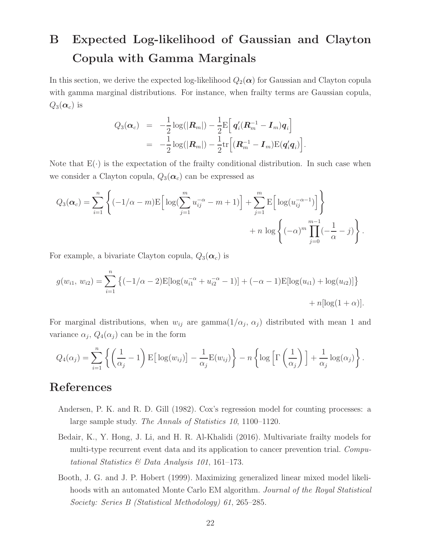# B Expected Log-likelihood of Gaussian and Clayton Copula with Gamma Marginals

In this section, we derive the expected log-likelihood  $Q_2(\alpha)$  for Gaussian and Clayton copula with gamma marginal distributions. For instance, when frailty terms are Gaussian copula,  $Q_3(\boldsymbol{\alpha}_c)$  is

$$
Q_3(\boldsymbol{\alpha}_c) = -\frac{1}{2}\log(|\boldsymbol{R}_m|) - \frac{1}{2}\mathrm{E}\Big[\,\boldsymbol{q}_i'(\boldsymbol{R}_m^{-1}-\boldsymbol{I}_m)\boldsymbol{q}_i\Big] \\ = -\frac{1}{2}\log(|\boldsymbol{R}_m|) - \frac{1}{2}\mathrm{tr}\Big[(\boldsymbol{R}_m^{-1}-\boldsymbol{I}_m)\mathrm{E}(\boldsymbol{q}_i'\boldsymbol{q}_i)\Big].
$$

Note that  $E(\cdot)$  is the expectation of the frailty conditional distribution. In such case when we consider a Clayton copula,  $Q_3(\boldsymbol{\alpha}_c)$  can be expressed as

$$
Q_3(\boldsymbol{\alpha}_c) = \sum_{i=1}^n \left\{ (-1/\alpha - m) \mathbb{E} \Big[ \log \Big( \sum_{j=1}^m u_{ij}^{-\alpha} - m + 1 \Big) \Big] + \sum_{j=1}^m \mathbb{E} \Big[ \log (u_{ij}^{-\alpha - 1}) \Big] \right\} + n \log \left\{ (-\alpha)^m \prod_{j=0}^{m-1} \Big( -\frac{1}{\alpha} - j \Big) \right\}.
$$

For example, a bivariate Clayton copula,  $Q_3(\boldsymbol{\alpha}_c)$  is

$$
g(w_{i1}, w_{i2}) = \sum_{i=1}^{n} \left\{ (-1/\alpha - 2) \mathbb{E}[\log(u_{i1}^{-\alpha} + u_{i2}^{-\alpha} - 1)] + (-\alpha - 1) \mathbb{E}[\log(u_{i1}) + \log(u_{i2})] \right\} + n[\log(1 + \alpha)].
$$

For marginal distributions, when  $w_{ij}$  are gamma $(1/\alpha_j, \alpha_j)$  distributed with mean 1 and variance  $\alpha_j$ ,  $Q_4(\alpha_j)$  can be in the form

$$
Q_4(\alpha_j) = \sum_{i=1}^n \left\{ \left( \frac{1}{\alpha_j} - 1 \right) \mathbb{E} \left[ \log(w_{ij}) \right] - \frac{1}{\alpha_j} \mathbb{E}(w_{ij}) \right\} - n \left\{ \log \left[ \Gamma \left( \frac{1}{\alpha_j} \right) \right] + \frac{1}{\alpha_j} \log(\alpha_j) \right\}.
$$

# References

- <span id="page-21-0"></span>Andersen, P. K. and R. D. Gill (1982). Cox's regression model for counting processes: a large sample study. *The Annals of Statistics 10*, 1100–1120.
- <span id="page-21-1"></span>Bedair, K., Y. Hong, J. Li, and H. R. Al-Khalidi (2016). Multivariate frailty models for multi-type recurrent event data and its application to cancer prevention trial. *Computational Statistics & Data Analysis 101*, 161–173.
- <span id="page-21-2"></span>Booth, J. G. and J. P. Hobert (1999). Maximizing generalized linear mixed model likelihoods with an automated Monte Carlo EM algorithm. *Journal of the Royal Statistical Society: Series B (Statistical Methodology) 61*, 265–285.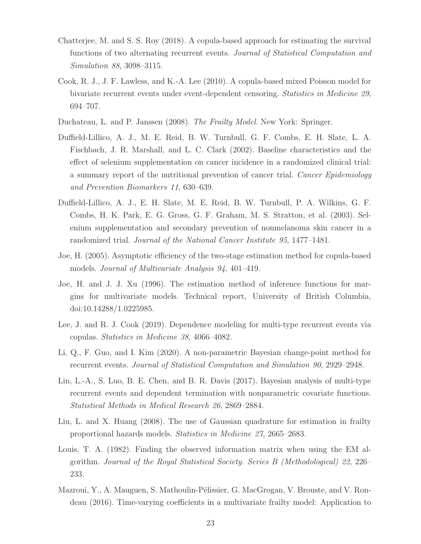- <span id="page-22-4"></span>Chatterjee, M. and S. S. Roy (2018). A copula-based approach for estimating the survival functions of two alternating recurrent events. *Journal of Statistical Computation and Simulation 88*, 3098–3115.
- <span id="page-22-7"></span>Cook, R. J., J. F. Lawless, and K.-A. Lee (2010). A copula-based mixed Poisson model for bivariate recurrent events under event-dependent censoring. *Statistics in Medicine 29*, 694–707.
- <span id="page-22-3"></span>Duchateau, L. and P. Janssen (2008). *The Frailty Model*. New York: Springer.
- <span id="page-22-0"></span>Duffield-Lillico, A. J., M. E. Reid, B. W. Turnbull, G. F. Combs, E. H. Slate, L. A. Fischbach, J. R. Marshall, and L. C. Clark (2002). Baseline characteristics and the effect of selenium supplementation on cancer incidence in a randomized clinical trial: a summary report of the nutritional prevention of cancer trial. *Cancer Epidemiology and Prevention Biomarkers 11*, 630–639.
- <span id="page-22-1"></span>Duffield-Lillico, A. J., E. H. Slate, M. E. Reid, B. W. Turnbull, P. A. Wilkins, G. F. Combs, H. K. Park, E. G. Gross, G. F. Graham, M. S. Stratton, et al. (2003). Selenium supplementation and secondary prevention of nonmelanoma skin cancer in a randomized trial. *Journal of the National Cancer Institute 95*, 1477–1481.
- <span id="page-22-11"></span>Joe, H. (2005). Asymptotic efficiency of the two-stage estimation method for copula-based models. *Journal of Multivariate Analysis 94*, 401–419.
- <span id="page-22-10"></span>Joe, H. and J. J. Xu (1996). The estimation method of inference functions for margins for multivariate models. Technical report, University of British Columbia, doi:10.14288/1.0225985.
- <span id="page-22-9"></span>Lee, J. and R. J. Cook (2019). Dependence modeling for multi-type recurrent events via copulas. *Statistics in Medicine 38*, 4066–4082.
- <span id="page-22-6"></span>Li, Q., F. Guo, and I. Kim (2020). A non-parametric Bayesian change-point method for recurrent events. *Journal of Statistical Computation and Simulation 90*, 2929–2948.
- <span id="page-22-2"></span>Lin, L.-A., S. Luo, B. E. Chen, and B. R. Davis (2017). Bayesian analysis of multi-type recurrent events and dependent termination with nonparametric covariate functions. *Statistical Methods in Medical Research 26*, 2869–2884.
- <span id="page-22-8"></span>Liu, L. and X. Huang (2008). The use of Gaussian quadrature for estimation in frailty proportional hazards models. *Statistics in Medicine 27*, 2665–2683.
- <span id="page-22-12"></span>Louis, T. A. (1982). Finding the observed information matrix when using the EM algorithm. *Journal of the Royal Statistical Society. Series B (Methodological) 22*, 226– 233.
- <span id="page-22-5"></span>Mazroui, Y., A. Mauguen, S. Mathoulin-Pélissier, G. MacGrogan, V. Brouste, and V. Rondeau (2016). Time-varying coefficients in a multivariate frailty model: Application to